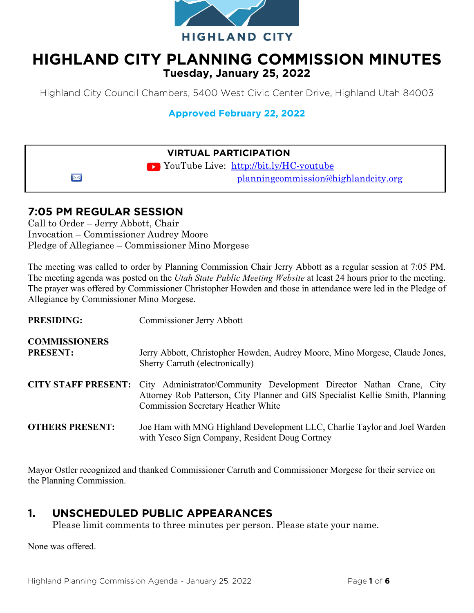

# **HIGHLAND CITY PLANNING COMMISSION MINUTES Tuesday, January 25, 2022**

Highland City Council Chambers, 5400 West Civic Center Drive, Highland Utah 84003

**Approved February 22, 2022** 

### **VIRTUAL PARTICIPATION**

► YouTube Live: <http://bit.ly/HC-youtube> [planningcommission@highlandcity.org](mailto:planningcommission@highlandcity.org)

# **7:05 PM REGULAR SESSION**

 $\boxtimes$ 

Call to Order – Jerry Abbott, Chair Invocation – Commissioner Audrey Moore Pledge of Allegiance – Commissioner Mino Morgese

The meeting was called to order by Planning Commission Chair Jerry Abbott as a regular session at 7:05 PM. The meeting agenda was posted on the *Utah State Public Meeting Website* at least 24 hours prior to the meeting. The prayer was offered by Commissioner Christopher Howden and those in attendance were led in the Pledge of Allegiance by Commissioner Mino Morgese.

| <b>PRESIDING:</b>                       | Commissioner Jerry Abbott                                                                                                                                                                                               |
|-----------------------------------------|-------------------------------------------------------------------------------------------------------------------------------------------------------------------------------------------------------------------------|
| <b>COMMISSIONERS</b><br><b>PRESENT:</b> | Jerry Abbott, Christopher Howden, Audrey Moore, Mino Morgese, Claude Jones,<br>Sherry Carruth (electronically)                                                                                                          |
|                                         | CITY STAFF PRESENT: City Administrator/Community Development Director Nathan Crane, City<br>Attorney Rob Patterson, City Planner and GIS Specialist Kellie Smith, Planning<br><b>Commission Secretary Heather White</b> |
| <b>OTHERS PRESENT:</b>                  | Joe Ham with MNG Highland Development LLC, Charlie Taylor and Joel Warden<br>with Yesco Sign Company, Resident Doug Cortney                                                                                             |

Mayor Ostler recognized and thanked Commissioner Carruth and Commissioner Morgese for their service on the Planning Commission.

# **1. UNSCHEDULED PUBLIC APPEARANCES**

Please limit comments to three minutes per person. Please state your name.

None was offered.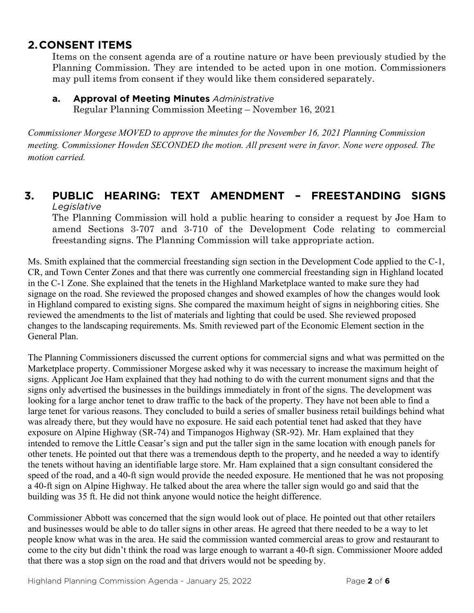### **2.CONSENT ITEMS**

Items on the consent agenda are of a routine nature or have been previously studied by the Planning Commission. They are intended to be acted upon in one motion. Commissioners may pull items from consent if they would like them considered separately.

#### **a. Approval of Meeting Minutes** *Administrative*

Regular Planning Commission Meeting – November 16, 2021

*Commissioner Morgese MOVED to approve the minutes for the November 16, 2021 Planning Commission meeting. Commissioner Howden SECONDED the motion. All present were in favor. None were opposed. The motion carried.* 

#### **3. PUBLIC HEARING: TEXT AMENDMENT – FREESTANDING SIGNS**  *Legislative*

The Planning Commission will hold a public hearing to consider a request by Joe Ham to amend Sections 3-707 and 3-710 of the Development Code relating to commercial freestanding signs. The Planning Commission will take appropriate action.

Ms. Smith explained that the commercial freestanding sign section in the Development Code applied to the C-1, CR, and Town Center Zones and that there was currently one commercial freestanding sign in Highland located in the C-1 Zone. She explained that the tenets in the Highland Marketplace wanted to make sure they had signage on the road. She reviewed the proposed changes and showed examples of how the changes would look in Highland compared to existing signs. She compared the maximum height of signs in neighboring cities. She reviewed the amendments to the list of materials and lighting that could be used. She reviewed proposed changes to the landscaping requirements. Ms. Smith reviewed part of the Economic Element section in the General Plan.

The Planning Commissioners discussed the current options for commercial signs and what was permitted on the Marketplace property. Commissioner Morgese asked why it was necessary to increase the maximum height of signs. Applicant Joe Ham explained that they had nothing to do with the current monument signs and that the signs only advertised the businesses in the buildings immediately in front of the signs. The development was looking for a large anchor tenet to draw traffic to the back of the property. They have not been able to find a large tenet for various reasons. They concluded to build a series of smaller business retail buildings behind what was already there, but they would have no exposure. He said each potential tenet had asked that they have exposure on Alpine Highway (SR-74) and Timpanogos Highway (SR-92). Mr. Ham explained that they intended to remove the Little Ceasar's sign and put the taller sign in the same location with enough panels for other tenets. He pointed out that there was a tremendous depth to the property, and he needed a way to identify the tenets without having an identifiable large store. Mr. Ham explained that a sign consultant considered the speed of the road, and a 40-ft sign would provide the needed exposure. He mentioned that he was not proposing a 40-ft sign on Alpine Highway. He talked about the area where the taller sign would go and said that the building was 35 ft. He did not think anyone would notice the height difference.

Commissioner Abbott was concerned that the sign would look out of place. He pointed out that other retailers and businesses would be able to do taller signs in other areas. He agreed that there needed to be a way to let people know what was in the area. He said the commission wanted commercial areas to grow and restaurant to come to the city but didn't think the road was large enough to warrant a 40-ft sign. Commissioner Moore added that there was a stop sign on the road and that drivers would not be speeding by.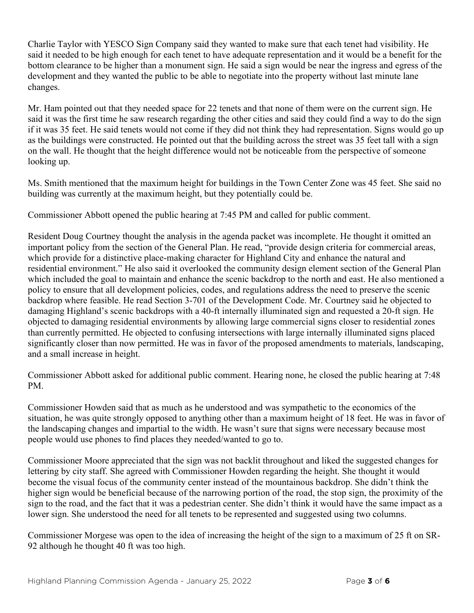Charlie Taylor with YESCO Sign Company said they wanted to make sure that each tenet had visibility. He said it needed to be high enough for each tenet to have adequate representation and it would be a benefit for the bottom clearance to be higher than a monument sign. He said a sign would be near the ingress and egress of the development and they wanted the public to be able to negotiate into the property without last minute lane changes.

Mr. Ham pointed out that they needed space for 22 tenets and that none of them were on the current sign. He said it was the first time he saw research regarding the other cities and said they could find a way to do the sign if it was 35 feet. He said tenets would not come if they did not think they had representation. Signs would go up as the buildings were constructed. He pointed out that the building across the street was 35 feet tall with a sign on the wall. He thought that the height difference would not be noticeable from the perspective of someone looking up.

Ms. Smith mentioned that the maximum height for buildings in the Town Center Zone was 45 feet. She said no building was currently at the maximum height, but they potentially could be.

Commissioner Abbott opened the public hearing at 7:45 PM and called for public comment.

Resident Doug Courtney thought the analysis in the agenda packet was incomplete. He thought it omitted an important policy from the section of the General Plan. He read, "provide design criteria for commercial areas, which provide for a distinctive place-making character for Highland City and enhance the natural and residential environment." He also said it overlooked the community design element section of the General Plan which included the goal to maintain and enhance the scenic backdrop to the north and east. He also mentioned a policy to ensure that all development policies, codes, and regulations address the need to preserve the scenic backdrop where feasible. He read Section 3-701 of the Development Code. Mr. Courtney said he objected to damaging Highland's scenic backdrops with a 40-ft internally illuminated sign and requested a 20-ft sign. He objected to damaging residential environments by allowing large commercial signs closer to residential zones than currently permitted. He objected to confusing intersections with large internally illuminated signs placed significantly closer than now permitted. He was in favor of the proposed amendments to materials, landscaping, and a small increase in height.

Commissioner Abbott asked for additional public comment. Hearing none, he closed the public hearing at 7:48 PM.

Commissioner Howden said that as much as he understood and was sympathetic to the economics of the situation, he was quite strongly opposed to anything other than a maximum height of 18 feet. He was in favor of the landscaping changes and impartial to the width. He wasn't sure that signs were necessary because most people would use phones to find places they needed/wanted to go to.

Commissioner Moore appreciated that the sign was not backlit throughout and liked the suggested changes for lettering by city staff. She agreed with Commissioner Howden regarding the height. She thought it would become the visual focus of the community center instead of the mountainous backdrop. She didn't think the higher sign would be beneficial because of the narrowing portion of the road, the stop sign, the proximity of the sign to the road, and the fact that it was a pedestrian center. She didn't think it would have the same impact as a lower sign. She understood the need for all tenets to be represented and suggested using two columns.

Commissioner Morgese was open to the idea of increasing the height of the sign to a maximum of 25 ft on SR-92 although he thought 40 ft was too high.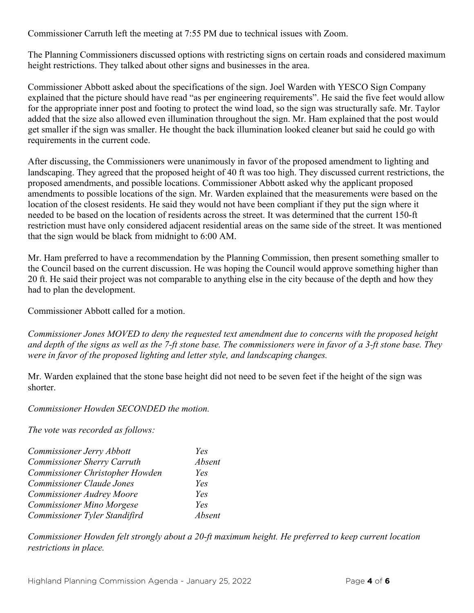Commissioner Carruth left the meeting at 7:55 PM due to technical issues with Zoom.

The Planning Commissioners discussed options with restricting signs on certain roads and considered maximum height restrictions. They talked about other signs and businesses in the area.

Commissioner Abbott asked about the specifications of the sign. Joel Warden with YESCO Sign Company explained that the picture should have read "as per engineering requirements". He said the five feet would allow for the appropriate inner post and footing to protect the wind load, so the sign was structurally safe. Mr. Taylor added that the size also allowed even illumination throughout the sign. Mr. Ham explained that the post would get smaller if the sign was smaller. He thought the back illumination looked cleaner but said he could go with requirements in the current code.

After discussing, the Commissioners were unanimously in favor of the proposed amendment to lighting and landscaping. They agreed that the proposed height of 40 ft was too high. They discussed current restrictions, the proposed amendments, and possible locations. Commissioner Abbott asked why the applicant proposed amendments to possible locations of the sign. Mr. Warden explained that the measurements were based on the location of the closest residents. He said they would not have been compliant if they put the sign where it needed to be based on the location of residents across the street. It was determined that the current 150-ft restriction must have only considered adjacent residential areas on the same side of the street. It was mentioned that the sign would be black from midnight to 6:00 AM.

Mr. Ham preferred to have a recommendation by the Planning Commission, then present something smaller to the Council based on the current discussion. He was hoping the Council would approve something higher than 20 ft. He said their project was not comparable to anything else in the city because of the depth and how they had to plan the development.

Commissioner Abbott called for a motion.

*Commissioner Jones MOVED to deny the requested text amendment due to concerns with the proposed height and depth of the signs as well as the 7-ft stone base. The commissioners were in favor of a 3-ft stone base. They were in favor of the proposed lighting and letter style, and landscaping changes.* 

Mr. Warden explained that the stone base height did not need to be seven feet if the height of the sign was shorter.

*Commissioner Howden SECONDED the motion.* 

*The vote was recorded as follows:* 

| Commissioner Jerry Abbott          | Yes    |
|------------------------------------|--------|
| <b>Commissioner Sherry Carruth</b> | Absent |
| Commissioner Christopher Howden    | Yes    |
| <b>Commissioner Claude Jones</b>   | Yes    |
| <b>Commissioner Audrey Moore</b>   | Yes    |
| <b>Commissioner Mino Morgese</b>   | Yes    |
| Commissioner Tyler Standifird      | Absent |

*Commissioner Howden felt strongly about a 20-ft maximum height. He preferred to keep current location restrictions in place.*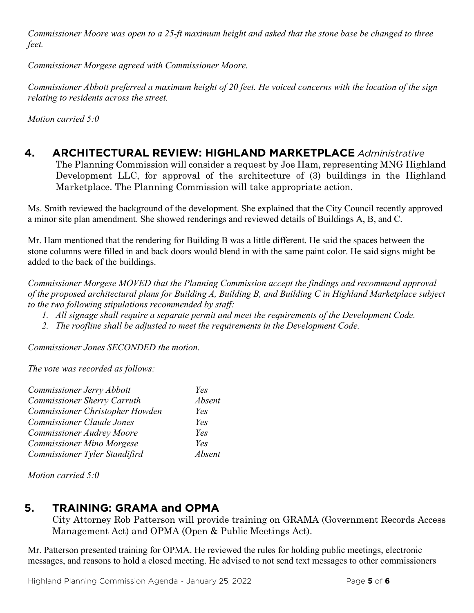*Commissioner Moore was open to a 25-ft maximum height and asked that the stone base be changed to three feet.* 

*Commissioner Morgese agreed with Commissioner Moore.* 

*Commissioner Abbott preferred a maximum height of 20 feet. He voiced concerns with the location of the sign relating to residents across the street.* 

*Motion carried 5:0* 

# **4. ARCHITECTURAL REVIEW: HIGHLAND MARKETPLACE** *Administrative*

The Planning Commission will consider a request by Joe Ham, representing MNG Highland Development LLC, for approval of the architecture of (3) buildings in the Highland Marketplace. The Planning Commission will take appropriate action.

Ms. Smith reviewed the background of the development. She explained that the City Council recently approved a minor site plan amendment. She showed renderings and reviewed details of Buildings A, B, and C.

Mr. Ham mentioned that the rendering for Building B was a little different. He said the spaces between the stone columns were filled in and back doors would blend in with the same paint color. He said signs might be added to the back of the buildings.

*Commissioner Morgese MOVED that the Planning Commission accept the findings and recommend approval of the proposed architectural plans for Building A, Building B, and Building C in Highland Marketplace subject to the two following stipulations recommended by staff:*

- *1. All signage shall require a separate permit and meet the requirements of the Development Code.*
- *2. The roofline shall be adjusted to meet the requirements in the Development Code.*

*Commissioner Jones SECONDED the motion.* 

*The vote was recorded as follows:* 

| Commissioner Jerry Abbott          | Yes    |
|------------------------------------|--------|
| <b>Commissioner Sherry Carruth</b> | Absent |
| Commissioner Christopher Howden    | Yes    |
| <b>Commissioner Claude Jones</b>   | Yes    |
| <b>Commissioner Audrey Moore</b>   | Yes    |
| <b>Commissioner Mino Morgese</b>   | Yes    |
| Commissioner Tyler Standifird      | Absent |

*Motion carried 5:0* 

### **5. TRAINING: GRAMA and OPMA**

City Attorney Rob Patterson will provide training on GRAMA (Government Records Access Management Act) and OPMA (Open & Public Meetings Act).

Mr. Patterson presented training for OPMA. He reviewed the rules for holding public meetings, electronic messages, and reasons to hold a closed meeting. He advised to not send text messages to other commissioners